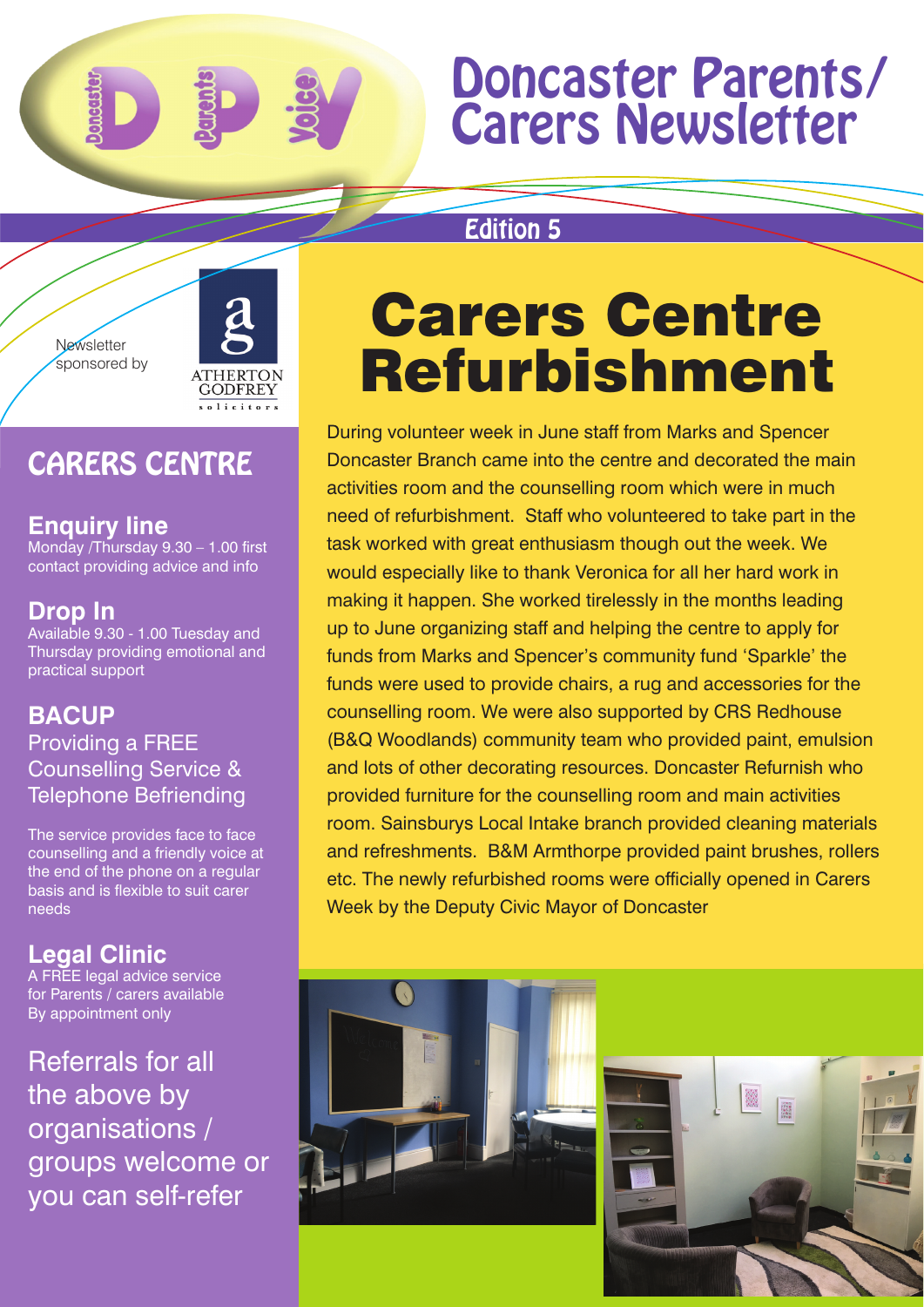## Doncaster Parents/ Carers Newsletter

### Edition 5



## CARERS CENTRE

**Enquiry line** Monday /Thursday 9.30 – 1.00 first contact providing advice and info

### **Drop In**

Available 9.30 - 1.00 Tuesday and Thursday providing emotional and practical support

#### **BACUP**  Providing a FREE Counselling Service & Telephone Befriending

The service provides face to face counselling and a friendly voice at the end of the phone on a regular basis and is flexible to suit carer needs

## **Legal Clinic**

A FREE legal advice service for Parents / carers available By appointment only

Referrals for all the above by organisations / groups welcome or you can self-refer

# Carers Centre Refurbishment

During volunteer week in June staff from Marks and Spencer Doncaster Branch came into the centre and decorated the main activities room and the counselling room which were in much need of refurbishment. Staff who volunteered to take part in the task worked with great enthusiasm though out the week. We would especially like to thank Veronica for all her hard work in making it happen. She worked tirelessly in the months leading up to June organizing staff and helping the centre to apply for funds from Marks and Spencer's community fund 'Sparkle' the funds were used to provide chairs, a rug and accessories for the counselling room. We were also supported by CRS Redhouse (B&Q Woodlands) community team who provided paint, emulsion and lots of other decorating resources. Doncaster Refurnish who provided furniture for the counselling room and main activities room. Sainsburys Local Intake branch provided cleaning materials and refreshments. B&M Armthorpe provided paint brushes, rollers etc. The newly refurbished rooms were officially opened in Carers Week by the Deputy Civic Mayor of Doncaster



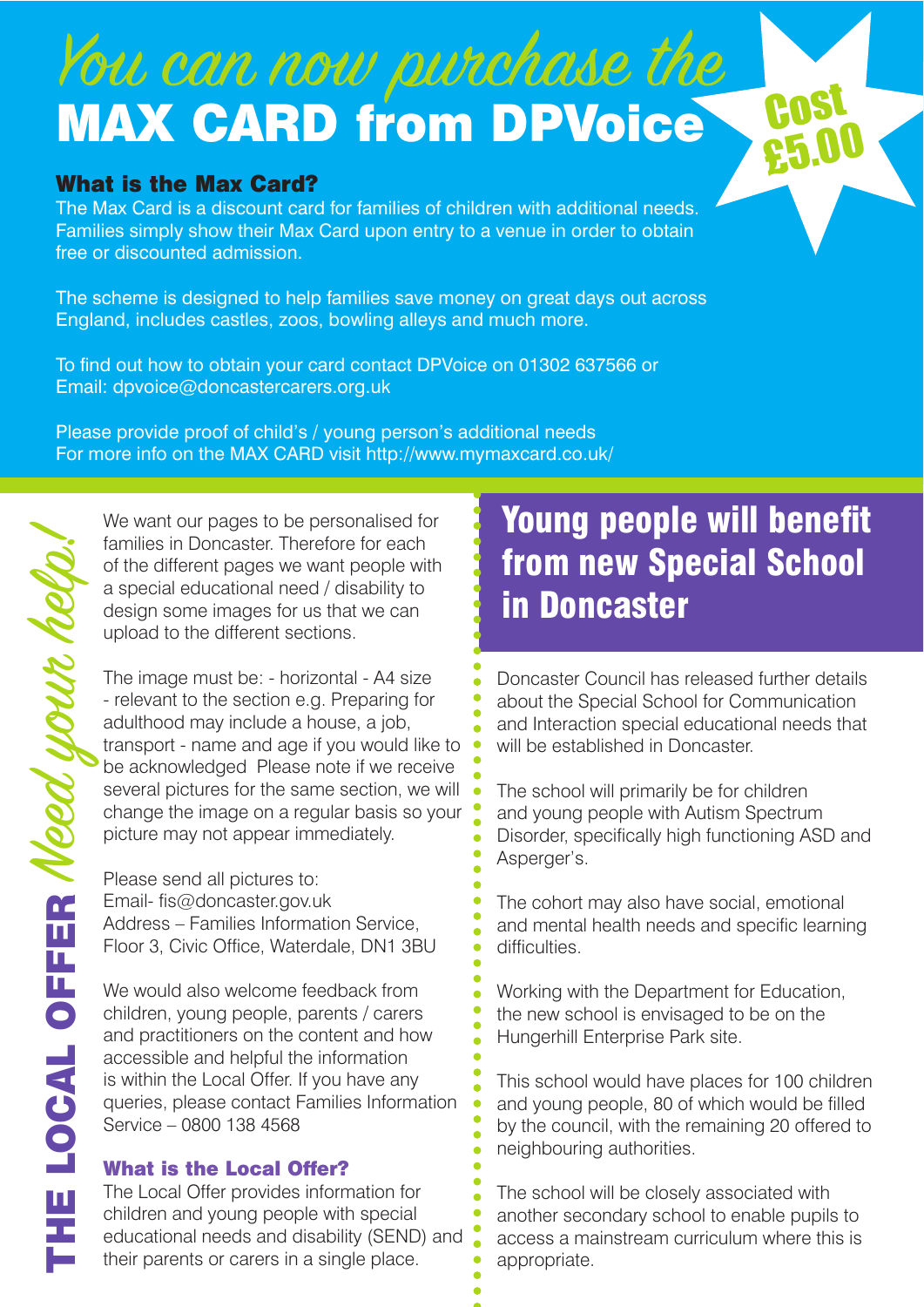# You can now purchase the MAX CARD from DPVoice

#### What is the Max Card?

The Max Card is a discount card for families of children with additional needs. Families simply show their Max Card upon entry to a venue in order to obtain free or discounted admission.

The scheme is designed to help families save money on great days out across England, includes castles, zoos, bowling alleys and much more.

To find out how to obtain your card contact DPVoice on 01302 637566 or Email: dpvoice@doncastercarers.org.uk

Please provide proof of child's / young person's additional needs For more info on the MAX CARD visit http://www.mymaxcard.co.uk/

We want our pages to be personalised for families in Doncaster. Therefore for each of the different pages we want people with a special educational need / disability to design some images for us that we can upload to the different sections.

The image must be: - horizontal - A4 size - relevant to the section e.g. Preparing for adulthood may include a house, a job, transport - name and age if you would like to be acknowledged Please note if we receive several pictures for the same section, we will change the image on a regular basis so your picture may not appear immediately.

Please send all pictures to: Email- fis@doncaster.gov.uk Address – Families Information Service, Floor 3, Civic Office, Waterdale, DN1 3BU

We would also welcome feedback from children, young people, parents / carers and practitioners on the content and how accessible and helpful the information is within the Local Offer. If you have any queries, please contact Families Information Service – 0800 138 4568

#### What is the Local Offer?

The Local Offer provides information for children and young people with special educational needs and disability (SEND) and their parents or carers in a single place.

## Young people will benefit from new Special School in Doncaster

**Cost** 

£5.00

Doncaster Council has released further details about the Special School for Communication and Interaction special educational needs that will be established in Doncaster.

The school will primarily be for children and young people with Autism Spectrum Disorder, specifically high functioning ASD and Asperger's.

The cohort may also have social, emotional and mental health needs and specific learning difficulties.

Working with the Department for Education, the new school is envisaged to be on the Hungerhill Enterprise Park site.

This school would have places for 100 children and young people, 80 of which would be filled by the council, with the remaining 20 offered to neighbouring authorities.

The school will be closely associated with another secondary school to enable pupils to access a mainstream curriculum where this is appropriate.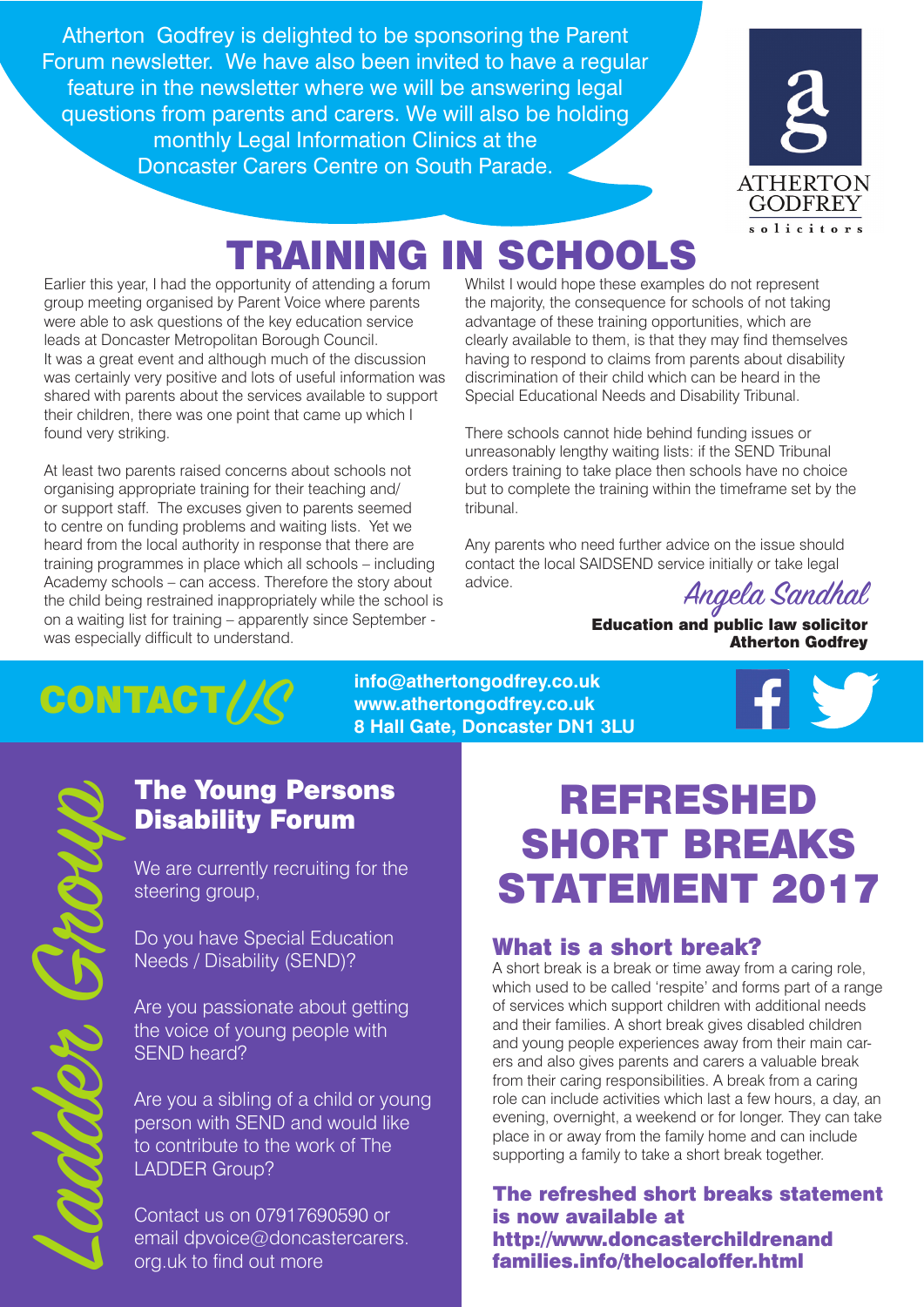Atherton Godfrey is delighted to be sponsoring the Parent Forum newsletter. We have also been invited to have a regular feature in the newsletter where we will be answering legal questions from parents and carers. We will also be holding monthly Legal Information Clinics at the Doncaster Carers Centre on South Parade.



## TRAINING IN SCHOOLS

Earlier this year, I had the opportunity of attending a forum group meeting organised by Parent Voice where parents were able to ask questions of the key education service leads at Doncaster Metropolitan Borough Council. It was a great event and although much of the discussion was certainly very positive and lots of useful information was shared with parents about the services available to support their children, there was one point that came up which I found very striking.

At least two parents raised concerns about schools not organising appropriate training for their teaching and/ or support staff. The excuses given to parents seemed to centre on funding problems and waiting lists. Yet we heard from the local authority in response that there are training programmes in place which all schools – including Academy schools – can access. Therefore the story about the child being restrained inappropriately while the school is on a waiting list for training – apparently since September was especially difficult to understand.

Whilst I would hope these examples do not represent the majority, the consequence for schools of not taking advantage of these training opportunities, which are clearly available to them, is that they may find themselves having to respond to claims from parents about disability discrimination of their child which can be heard in the Special Educational Needs and Disability Tribunal.

There schools cannot hide behind funding issues or unreasonably lengthy waiting lists: if the SEND Tribunal orders training to take place then schools have no choice but to complete the training within the timeframe set by the tribunal.

Any parents who need further advice on the issue should contact the local SAIDSEND service initially or take legal advice.

Angela Sandhal

Education and public law solicitor Atherton Godfrey

## $COMTACT/\!\!/C$

**info@athertongodfrey.co.uk www.athertongodfrey.co.uk 8 Hall Gate, Doncaster DN1 3LU** 

### The Young Persons Disability Forum

We are currently recruiting for the steering group,

Do you have Special Education Needs / Disability (SEND)?

Are you passionate about getting the voice of young people with SEND heard?

Are you a sibling of a child or young person with SEND and would like to contribute to the work of The LADDER Group?

Contact us on 07917690590 or email dpvoice@doncastercarers. org.uk to find out more

## REFRESHED SHORT BREAKS STATEMENT 2017

#### What is a short break?

A short break is a break or time away from a caring role, which used to be called 'respite' and forms part of a range of services which support children with additional needs and their families. A short break gives disabled children and young people experiences away from their main carers and also gives parents and carers a valuable break from their caring responsibilities. A break from a caring role can include activities which last a few hours, a day, an evening, overnight, a weekend or for longer. They can take place in or away from the family home and can include supporting a family to take a short break together.

#### The refreshed short breaks statement is now available at http://www.doncasterchildrenand families.info/thelocaloffer.html

Ladde Grop